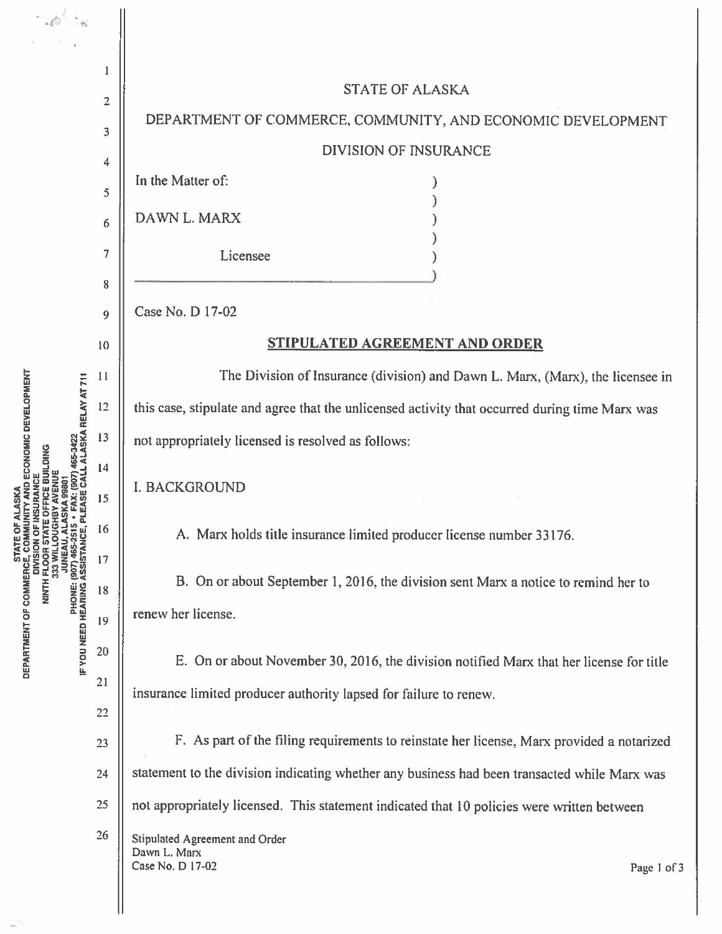$\cdot$   $\circ$  $\mathbf{I}$ **STATE OF ALASKA**  $\overline{2}$ DEPARTMENT OF COMMERCE, COMMUNITY, AND ECONOMIC DEVELOPMENT 3 **DIVISION OF INSURANCE**  $\overline{\mathbf{4}}$ In the Matter of: 5 DAWN L. MARX 6  $\overline{7}$ Licensee 8 Case No. D 17-02  $\overline{Q}$ STIPULATED AGREEMENT AND ORDER 10 The Division of Insurance (division) and Dawn L. Marx, (Marx), the licensee in  $11$ PHONE: (907) 465-2515 • FAX: (907) 465-3422<br>IF YOU NEED HEARING ASSISTANCE, PLEASE CALL ALASKA RELAY AT 711 12 this case, stipulate and agree that the unlicensed activity that occurred during time Marx was 13 not appropriately licensed is resolved as follows: 14 **JUNEAU, ALASKA 9980 I. BACKGROUND** 15 16 A. Marx holds title insurance limited producer license number 33176. 17 B. On or about September 1, 2016, the division sent Marx a notice to remind her to 18 renew her license. 19 20 E. On or about November 30, 2016, the division notified Marx that her license for title  $21$ insurance limited producer authority lapsed for failure to renew. 22 F. As part of the filing requirements to reinstate her license, Marx provided a notarized 23 statement to the division indicating whether any business had been transacted while Marx was  $24$ not appropriately licensed. This statement indicated that 10 policies were written between 25 26 Stipulated Agreement and Order Dawn L. Marx Case No. D 17-02

**DEPARTMENT OF COMMERCE, COMMUNITY AND ECONOMIC DEVELOPMENT**<br>DEPARTMENT OF COMMERCE, COMMUNITY AND ECONOMIC DEVELOPMENT **DIVISION OF INSURANCE<br>NINTH FLOOR STATE OFFICE BUILDING<br>333 WILLOUGHBY AVENUE** 

Page 1 of 3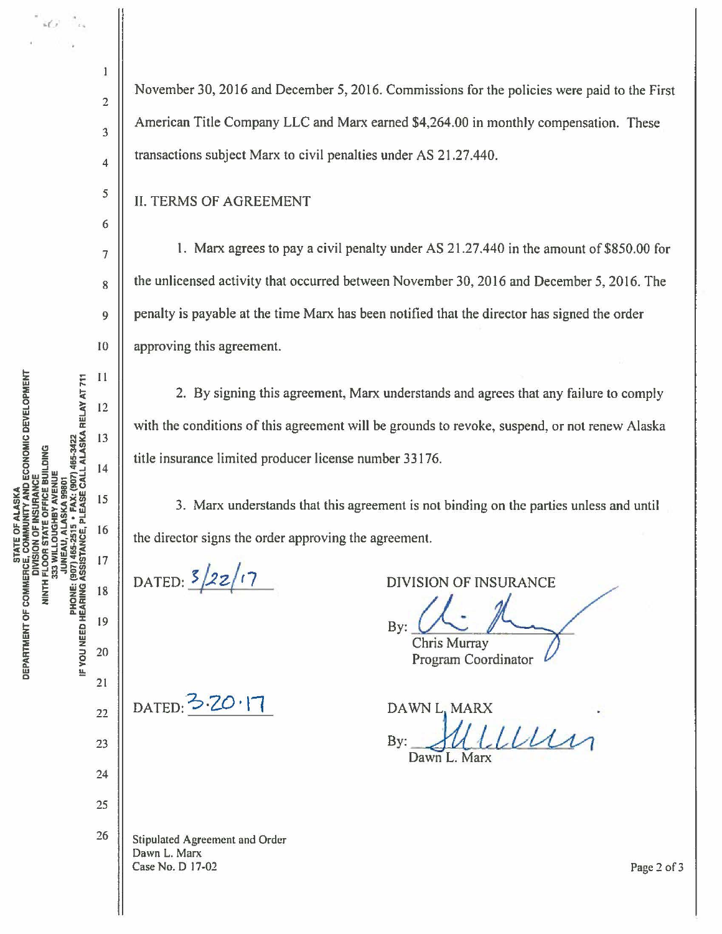$i \ell$ 

 $\mathbf{1}$ 

 $\overline{2}$ 

 $\overline{\mathbf{3}}$ 

 $\overline{4}$ 

5

6

 $\overline{7}$ 

8

9

10

 $11$ 

12

13

14

15

16

17

18

19

20

 $21$ 

 $22$ 

23

24

25

November 30, 2016 and December 5, 2016. Commissions for the policies were paid to the First American Title Company LLC and Marx earned \$4,264.00 in monthly compensation. These transactions subject Marx to civil penalties under AS 21.27.440.

**II. TERMS OF AGREEMENT** 

1. Marx agrees to pay a civil penalty under AS 21.27.440 in the amount of \$850.00 for the unlicensed activity that occurred between November 30, 2016 and December 5, 2016. The penalty is payable at the time Marx has been notified that the director has signed the order approving this agreement.

2. By signing this agreement, Marx understands and agrees that any failure to comply with the conditions of this agreement will be grounds to revoke, suspend, or not renew Alaska title insurance limited producer license number 33176.

3. Marx understands that this agreement is not binding on the parties unless and until the director signs the order approving the agreement.

DATED:  $\frac{5}{22}$  17

**DIVISION OF INSURANCE** 

Bv: **Chris Murray** 

**Program Coordinator** 

DAWN L, MARX Illen By: Dawn L. Marx

26 **Stipulated Agreement and Order** Dawn L. Marx Case No. D 17-02

DATED: 3.20.17